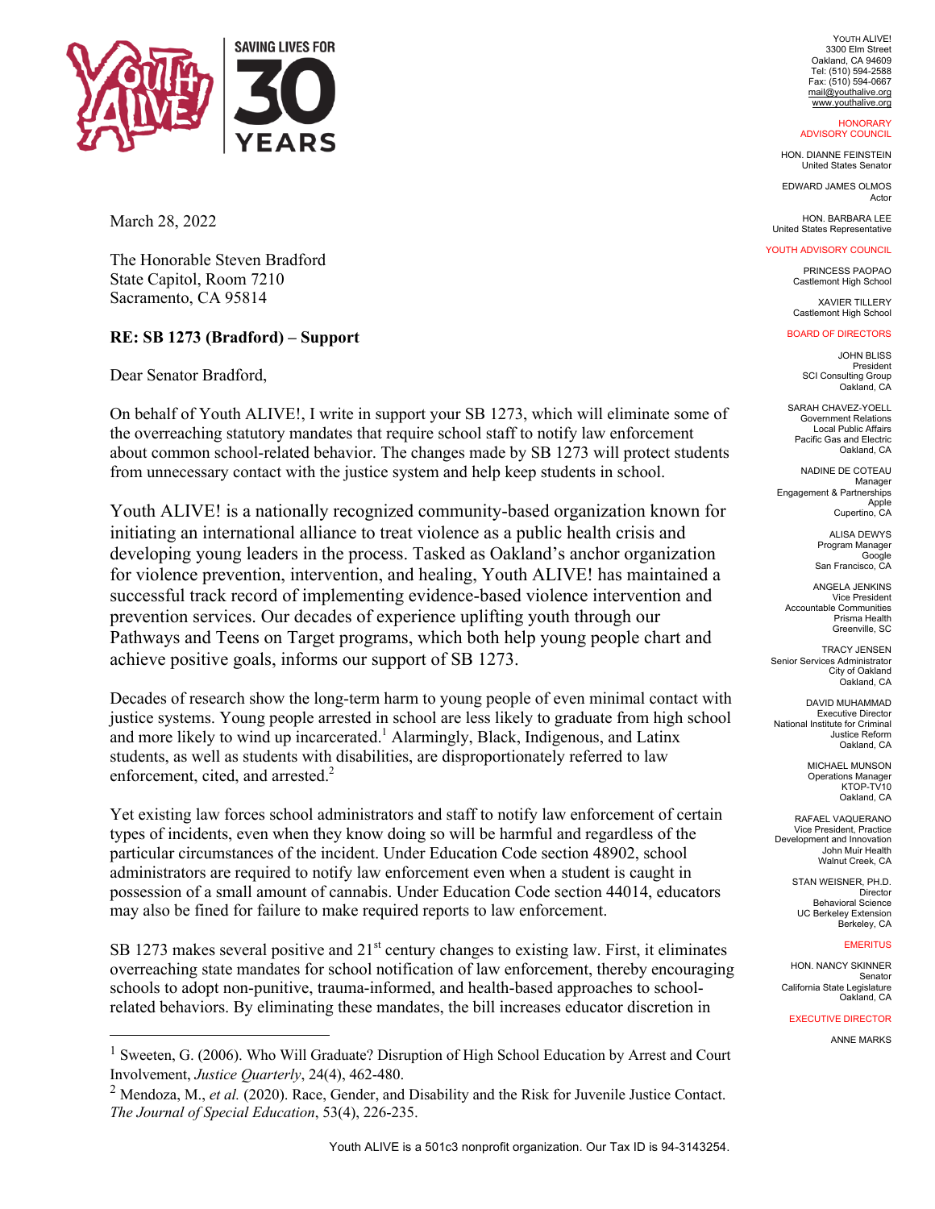

March 28, 2022

The Honorable Steven Bradford State Capitol, Room 7210 Sacramento, CA 95814

# **RE: SB 1273 (Bradford) – Support**

Dear Senator Bradford,

On behalf of Youth ALIVE!, I write in support your SB 1273, which will eliminate some of the overreaching statutory mandates that require school staff to notify law enforcement about common school-related behavior. The changes made by SB 1273 will protect students from unnecessary contact with the justice system and help keep students in school.

Youth ALIVE! is a nationally recognized community-based organization known for initiating an international alliance to treat violence as a public health crisis and developing young leaders in the process. Tasked as Oakland's anchor organization for violence prevention, intervention, and healing, Youth ALIVE! has maintained a successful track record of implementing evidence-based violence intervention and prevention services. Our decades of experience uplifting youth through our Pathways and Teens on Target programs, which both help young people chart and achieve positive goals, informs our support of SB 1273.

Decades of research show the long-term harm to young people of even minimal contact with justice systems. Young people arrested in school are less likely to graduate from high school and more likely to wind up incarcerated.<sup>1</sup> Alarmingly, Black, Indigenous, and Latinx students, as well as students with disabilities, are disproportionately referred to law enforcement, cited, and arrested.<sup>2</sup>

Yet existing law forces school administrators and staff to notify law enforcement of certain types of incidents, even when they know doing so will be harmful and regardless of the particular circumstances of the incident. Under Education Code section 48902, school administrators are required to notify law enforcement even when a student is caught in possession of a small amount of cannabis. Under Education Code section 44014, educators may also be fined for failure to make required reports to law enforcement.

SB 1273 makes several positive and  $21<sup>st</sup>$  century changes to existing law. First, it eliminates overreaching state mandates for school notification of law enforcement, thereby encouraging schools to adopt non-punitive, trauma-informed, and health-based approaches to schoolrelated behaviors. By eliminating these mandates, the bill increases educator discretion in

YOUTH ALIVE! 3300 Elm Street Oakland, CA 94609 Tel: (510) 594-2588 Fax: (510) 594-0667 mail@youthalive.org www.youthalive.org

#### **HONORARY** ADVISORY COUNCIL

HON. DIANNE FEINSTEIN United States Senator

EDWARD JAMES OLMOS Actor

HON. BARBARA LEE United States Representative

### YOUTH ADVISORY COUNCIL

PRINCESS PAOPAO Castlemont High School

XAVIER TILLERY Castlemont High School

## BOARD OF DIRECTORS

JOHN BLISS President SCI Consulting Group Oakland, CA

SARAH CHAVEZ-YOELL Government Relations Local Public Affairs Pacific Gas and Electric Oakland, CA

NADINE DE COTEAU Manager Engagement & Partnerships Apple Cupertino, CA

> **ALISA DEWYS** Program Manager Google San Francisco, CA

ANGELA JENKINS Vice President Accountable Communities Prisma Health Greenville, SC

TRACY JENSEN Senior Services Administrator City of Oakland Oakland, CA

DAVID MUHAMMAD Executive Director National Institute for Criminal Justice Reform Oakland, CA

> MICHAEL MUNSON Operations Manager KTOP-TV<sub>10</sub> Oakland, CA

RAFAEL VAQUERANO Vice President, Practice Development and Innovation John Muir Health Walnut Creek, CA

> STAN WEISNER, PH.D. Director Behavioral Science UC Berkeley Extension Berkeley, CA

#### **EMERITUS**

HON. NANCY SKINNER Senator California State Legislature Oakland, CA

EXECUTIVE DIRECTOR

ANNE MARKS

<sup>&</sup>lt;sup>1</sup> Sweeten, G. (2006). Who Will Graduate? Disruption of High School Education by Arrest and Court Involvement, *Justice Quarterly*, 24(4), 462-480.

<sup>2</sup> Mendoza, M., *et al.* (2020). Race, Gender, and Disability and the Risk for Juvenile Justice Contact. *The Journal of Special Education*, 53(4), 226-235.